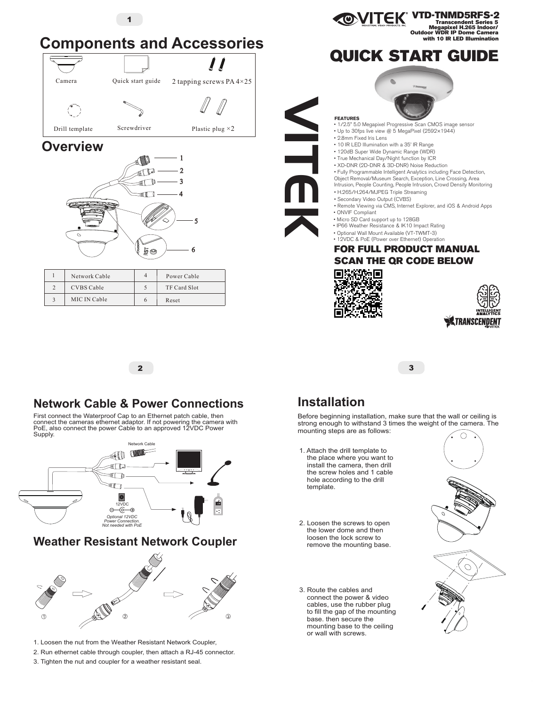

## **Network Cable & Power Connections**

First connect the Waterproof Cap to an Ethernet patch cable, then connect the cameras ethernet adaptor. If not powering the camera with PoE, also connect the power Cable to an approved 12VDC Power Supply.



- 1. Loosen the nut from the Weather Resistant Network Coupler,
- 2. Run ethernet cable through coupler, then attach a RJ-45 connector.
- 3. Tighten the nut and coupler for a weather resistant seal.

# **Installation**

Before beginning installation, make sure that the wall or ceiling is strong enough to withstand 3 times the weight of the camera. The mounting steps are as follows:

- 1. Attach the drill template to the place where you want to install the camera, then drill the screw holes and 1 cable hole according to the drill template.
- 2. Loosen the screws to open the lower dome and then loosen the lock screw to remove the mounting base.
- 3. Route the cables and connect the power & video cables, use the rubber plug to fill the gap of the mounting base. then secure the mounting base to the ceiling<br>or wall with screws.